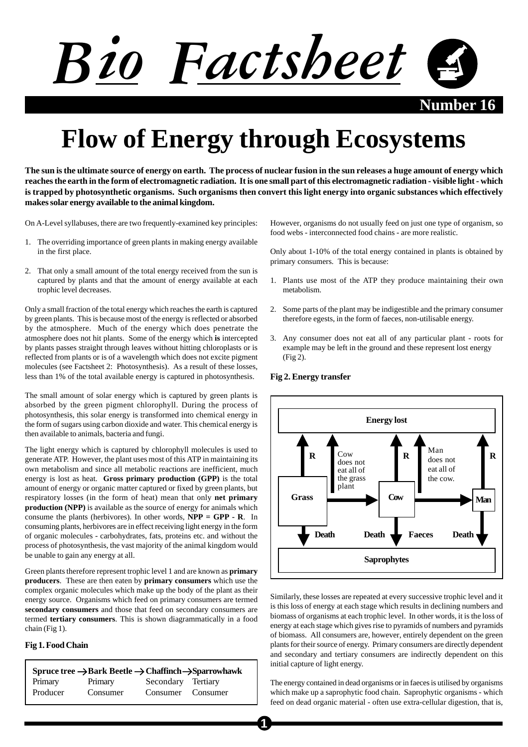

**Number** 16

# **Flow of Energy through Ecosystems**

**The sun is the ultimate source of energy on earth. The process of nuclear fusion in the sun releases a huge amount of energy which reaches the earth in the form of electromagnetic radiation. It is one small part of this electromagnetic radiation - visible light - which is trapped by photosynthetic organisms. Such organisms then convert this light energy into organic substances which effectively makes solar energy available to the animal kingdom.**

On A-Level syllabuses, there are two frequently-examined key principles:

- 1. The overriding importance of green plants in making energy available in the first place.
- 2. That only a small amount of the total energy received from the sun is captured by plants and that the amount of energy available at each trophic level decreases.

Only a small fraction of the total energy which reaches the earth is captured by green plants. This is because most of the energy is reflected or absorbed by the atmosphere. Much of the energy which does penetrate the atmosphere does not hit plants. Some of the energy which **is** intercepted by plants passes straight through leaves without hitting chloroplasts or is reflected from plants or is of a wavelength which does not excite pigment molecules (see Factsheet 2: Photosynthesis). As a result of these losses, less than 1% of the total available energy is captured in photosynthesis.

The small amount of solar energy which is captured by green plants is absorbed by the green pigment chlorophyll. During the process of photosynthesis, this solar energy is transformed into chemical energy in the form of sugars using carbon dioxide and water. This chemical energy is then available to animals, bacteria and fungi.

The light energy which is captured by chlorophyll molecules is used to generate ATP. However, the plant uses most of this ATP in maintaining its own metabolism and since all metabolic reactions are inefficient, much energy is lost as heat. **Gross primary production (GPP)** is the total amount of energy or organic matter captured or fixed by green plants, but respiratory losses (in the form of heat) mean that only **net primary production (NPP)** is available as the source of energy for animals which consume the plants (herbivores). In other words, **NPP = GPP - R**. In consuming plants, herbivores are in effect receiving light energy in the form of organic molecules - carbohydrates, fats, proteins etc. and without the process of photosynthesis, the vast majority of the animal kingdom would be unable to gain any energy at all.

Green plants therefore represent trophic level 1 and are known as **primary producers**. These are then eaten by **primary consumers** which use the complex organic molecules which make up the body of the plant as their energy source. Organisms which feed on primary consumers are termed **secondary consumers** and those that feed on secondary consumers are termed **tertiary consumers**. This is shown diagrammatically in a food chain (Fig 1).

## **Fig 1. Food Chain**

| Spruce tree $\rightarrow$ Bark Beetle $\rightarrow$ Chaffinch $\rightarrow$ Sparrowhawk |          |                    |  |  |
|-----------------------------------------------------------------------------------------|----------|--------------------|--|--|
| Primary                                                                                 | Primary  | Secondary Tertiary |  |  |
| Producer                                                                                | Consumer | Consumer Consumer  |  |  |

However, organisms do not usually feed on just one type of organism, so food webs - interconnected food chains - are more realistic.

Only about 1-10% of the total energy contained in plants is obtained by primary consumers. This is because:

- 1. Plants use most of the ATP they produce maintaining their own metabolism.
- 2. Some parts of the plant may be indigestible and the primary consumer therefore egests, in the form of faeces, non-utilisable energy.
- 3. Any consumer does not eat all of any particular plant roots for example may be left in the ground and these represent lost energy (Fig 2).



# **Fig 2. Energy transfer**

Similarly, these losses are repeated at every successive trophic level and it is this loss of energy at each stage which results in declining numbers and biomass of organisms at each trophic level. In other words, it is the loss of energy at each stage which gives rise to pyramids of numbers and pyramids of biomass. All consumers are, however, entirely dependent on the green plants for their source of energy. Primary consumers are directly dependent and secondary and tertiary consumers are indirectly dependent on this initial capture of light energy.

The energy contained in dead organisms or in faeces is utilised by organisms which make up a saprophytic food chain. Saprophytic organisms - which feed on dead organic material - often use extra-cellular digestion, that is,